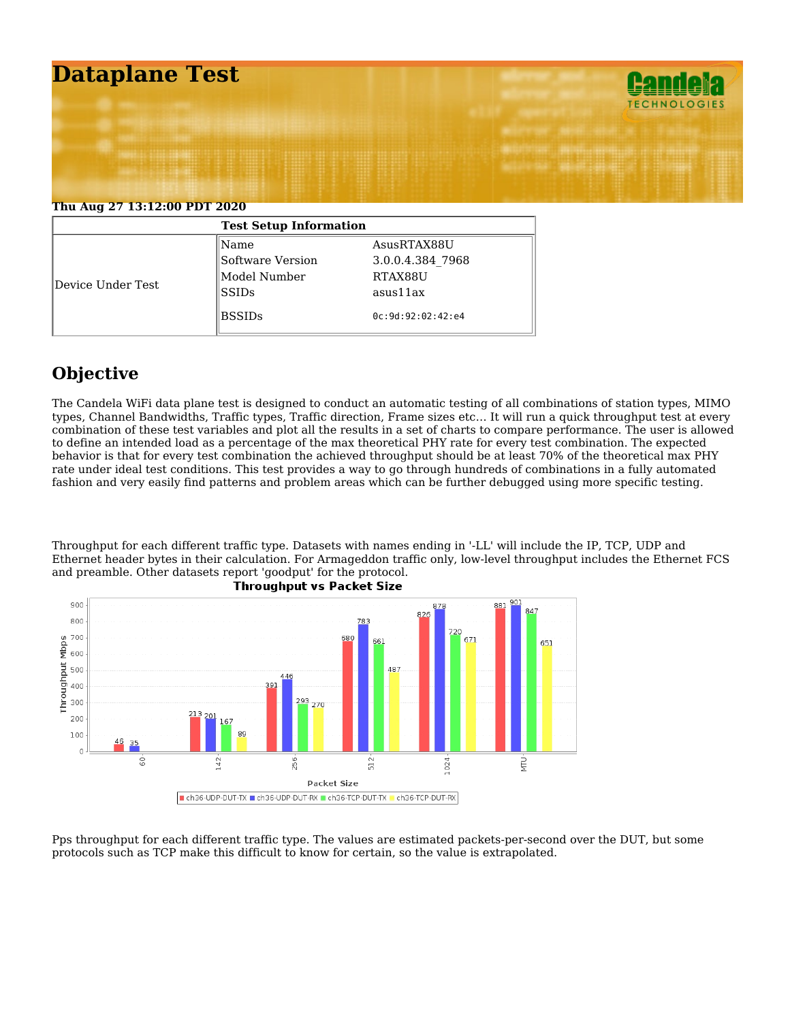

| <b>Test Setup Information</b> |                  |                   |  |  |  |  |  |
|-------------------------------|------------------|-------------------|--|--|--|--|--|
|                               | Name             | AsusRTAX88U       |  |  |  |  |  |
|                               | Software Version | 3.0.0.4.384 7968  |  |  |  |  |  |
|                               | Model Number     | RTAX88U           |  |  |  |  |  |
| Device Under Test             | SSIDs            | asus11ax          |  |  |  |  |  |
|                               | <b>BSSIDs</b>    | 0c:9d:92:02:42:64 |  |  |  |  |  |

## **Objective**

The Candela WiFi data plane test is designed to conduct an automatic testing of all combinations of station types, MIMO types, Channel Bandwidths, Traffic types, Traffic direction, Frame sizes etc… It will run a quick throughput test at every combination of these test variables and plot all the results in a set of charts to compare performance. The user is allowed to define an intended load as a percentage of the max theoretical PHY rate for every test combination. The expected behavior is that for every test combination the achieved throughput should be at least 70% of the theoretical max PHY rate under ideal test conditions. This test provides a way to go through hundreds of combinations in a fully automated fashion and very easily find patterns and problem areas which can be further debugged using more specific testing.

Throughput for each different traffic type. Datasets with names ending in '-LL' will include the IP, TCP, UDP and Ethernet header bytes in their calculation. For Armageddon traffic only, low-level throughput includes the Ethernet FCS and preamble. Other datasets report 'goodput' for the protocol.



Pps throughput for each different traffic type. The values are estimated packets-per-second over the DUT, but some protocols such as TCP make this difficult to know for certain, so the value is extrapolated.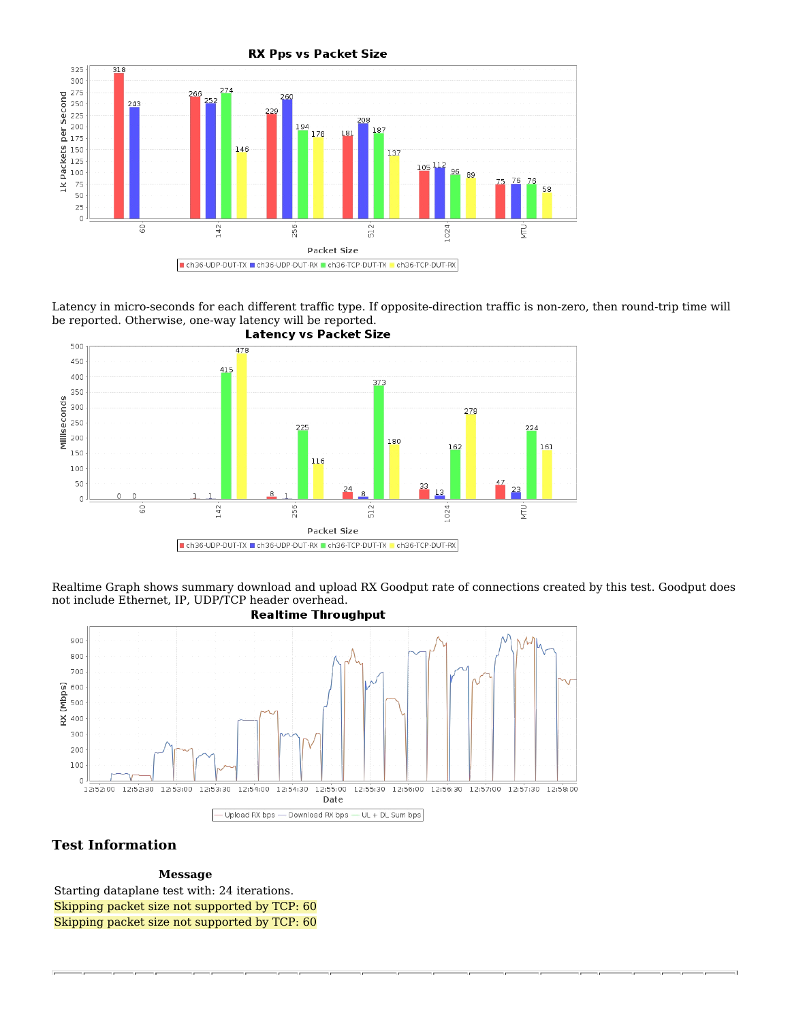

Latency in micro-seconds for each different traffic type. If opposite-direction traffic is non-zero, then round-trip time will be reported. Otherwise, one-way latency will be reported.<br>Latency vs Packet Size



Realtime Graph shows summary download and upload RX Goodput rate of connections created by this test. Goodput does not include Ethernet, IP, UDP/TCP header overhead.



## **Test Information**

**Message**

Starting dataplane test with: 24 iterations. Skipping packet size not supported by TCP: 60 Skipping packet size not supported by TCP: 60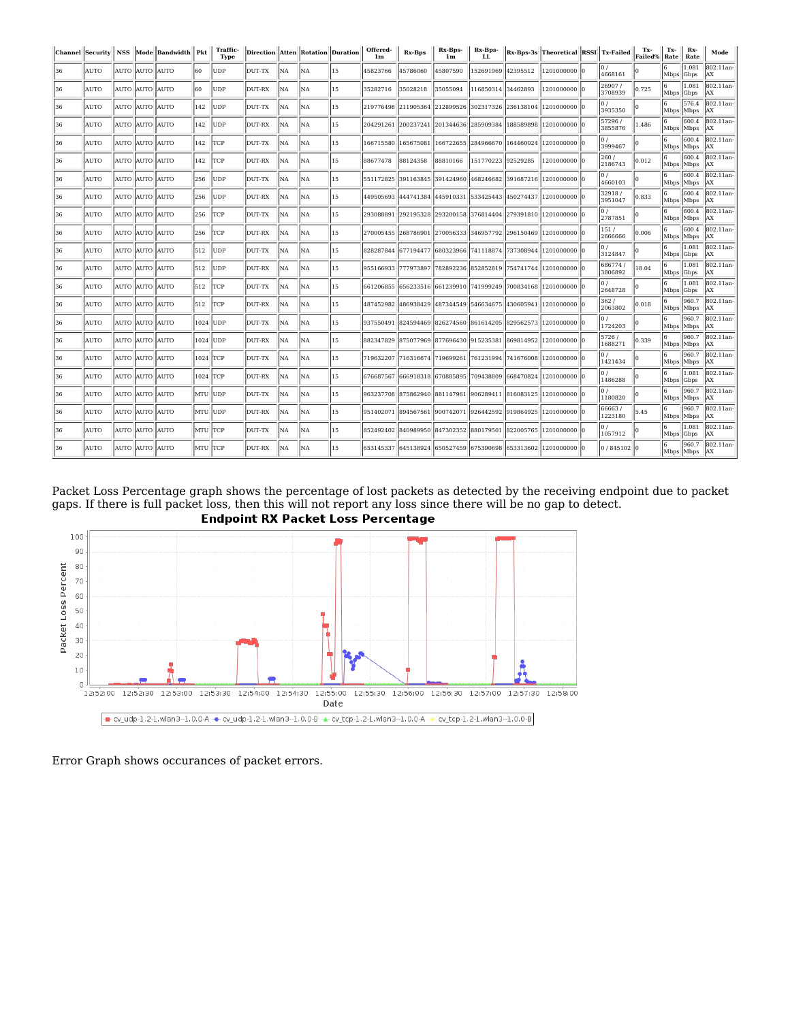|    | Channel Security NSS |                | Mode   Bandwidth   Pkt |           | Traffic-<br><b>Type</b> | Direction Atten Rotation Duration |           |                |    | Offered-<br>1 <sub>m</sub> | <b>Rx-Bps</b> | Rx-Bps-<br>1 <sub>m</sub>                         | Rx-Bps-<br>LL.     |           | Rx-Bps-3s Theoretical RSSI Tx-Failed                           |                              | Tx-<br>Failed% | Tx-<br>Rate      | Rx-<br>Rate           | Mode                    |
|----|----------------------|----------------|------------------------|-----------|-------------------------|-----------------------------------|-----------|----------------|----|----------------------------|---------------|---------------------------------------------------|--------------------|-----------|----------------------------------------------------------------|------------------------------|----------------|------------------|-----------------------|-------------------------|
| 36 | <b>AUTO</b>          | AUTO AUTO AUTO |                        | 60        | <b>UDP</b>              | DUT-TX                            | NA        | INA.           | 15 | 45823766                   | 45786060      | 45807590                                          | 152691969 42395512 |           | 1201000000 lo                                                  | 4668161                      |                | Mbps Gbps        | 11.081                | 802.11an-<br>lax        |
| 36 | <b>AUTO</b>          | AUTO AUTO AUTO |                        | 160       | <b>UDP</b>              | DUT-RX                            | <b>NA</b> | <b>NA</b>      | 15 | 35282716                   | 35028218      | 35055094                                          | 116850314          | 34462893  | 1201000000 l0                                                  | 26907/<br>3708939            | 0.725          | 6<br>Mbps Gbps   | 1.081                 | 802.11an-<br>lax        |
| 36 | <b>AUTO</b>          | AUTO AUTO AUTO |                        | 142       | UDP                     | DUT-TX                            | NA        | NA             | 15 |                            |               | 219776498 211905364 212899526 302317326 236138104 |                    |           | 1201000000 l0                                                  | 107<br>3935350               |                | Mbps Mbps        | 576.4                 | 802.11an-<br><b>AX</b>  |
| 36 | AUTO                 | AUTO AUTO AUTO |                        | 142       | UDP                     | DUT-RX                            | NA        | lNA.           | 15 | 204291261                  | 200237241     | 201344636 285909384                               |                    |           | 188589898 1201000000 0                                         | 57296/<br>3855876            | 1.486          | Mbps Mbps        | 600.4                 | 802.11an-<br>lax        |
| 36 | AUTO                 | AUTO AUTO AUTO |                        | 142       | <b>TCP</b>              | DUT-TX                            | NA        | <b>NA</b>      | 15 | 166715580                  | 165675081     | 166722655                                         | 284966670          | 164460024 | 1201000000 l0                                                  | 3999467                      |                | Mbps Mbps        | 600.4                 | 802.11an-<br><b>AX</b>  |
| 36 | AUTO                 | AUTO AUTO      | <b>AUTO</b>            | 142       | TCP                     | DUT-RX                            | NA        | NA.            | 15 | 88677478                   | 88124358      | 88810166                                          | 151770223          | 92529285  | 1201000000                                                     | 260 /<br>2186743             | 0.012          | 16.<br>Mbps Mbps | 600.4                 | 802.11an-<br><b>JAX</b> |
| 36 | <b>AUTO</b>          | AUTO AUTO AUTO |                        | 256       | <b>UDP</b>              | DUT-TX                            | NA        | INA.           | 15 | 551172825                  | 391163845     | 391424960 468246682                               |                    |           | 391687216 1201000000 10                                        | 0/<br>4660103                |                | Mbps Mbps        | 600.4                 | 802.11an-<br>lax        |
| 36 | AUTO                 | AUTO AUTO AUTO |                        | 256       | UDP                     | DUT-RX                            | NA        | NA.            | 15 |                            |               |                                                   |                    |           | 449505693 444741384 445910331 533425443 450274437 1201000000 0 | 32918/<br>3951047            | 0.833          | 6<br>Mbps Mbps   | 600.4                 | 802.11an-<br>lax        |
| 36 | AUTO                 | AUTO AUTO AUTO |                        | 256       | <b>TCP</b>              | DUT-TX                            | NA        | <b>NA</b>      | 15 | 293088891                  | 292195328     |                                                   |                    |           | 293200158 376814404 279391810 1201000000 0                     | 2787851                      |                | Mbps Mbps        | 600.4                 | 802.11an-<br>lax        |
| 36 | <b>AUTO</b>          | AUTO AUTO AUTO |                        | 256       | TCP                     | DUT-RX                            | NA        | N <sub>A</sub> | 15 | 270005455 268786901        |               |                                                   |                    |           | 270056333 346957792 296150469 1201000000                       | 151/<br>2666666              | 0.006          | 6<br>Mbps Mbps   | 600.4                 | 802.11an-<br>lax        |
| 36 | <b>AUTO</b>          | AUTO AUTO AUTO |                        | 512       | <b>UDP</b>              | DUT-TX                            | NA        | <b>NA</b>      | 15 |                            |               |                                                   |                    |           | 828287844 677194477 680323966 741118874 737308944 1201000000 0 | 0/<br>3124847                |                | 6<br>Mbps Gbps   | 1.081                 | 802.11an<br>lax         |
| 36 | AUTO                 | AUTO AUTO AUTO |                        | 512       | <b>UDP</b>              | DUT-RX                            | NA        | <b>NA</b>      | 15 | 955166933                  | 777973897     |                                                   |                    |           | 782892236 852852819 754741744 1201000000 0                     | 686774 /<br>3806892          | 18.04          | Mbps Gbps        | 1.081                 | 802.11an-<br>AX         |
| 36 | AUTO                 | AUTO AUTO AUTO |                        | 512       | TCP                     | DUT-TX                            | NA        | <b>NA</b>      | 15 |                            |               |                                                   |                    |           | 661206855 656233516 661239910 741999249 700834168 1201000000 0 | 2648728                      |                | Mbps Gbps        | 1.081                 | 802.11an-<br>lax        |
| 36 | <b>AUTO</b>          | AUTO AUTO AUTO |                        | 512       | <b>TCP</b>              | DUT-RX                            | NA        | NA.            | 15 | 487452982                  | 486938429     | 487344549 546634675                               |                    | 430605941 | 1201000000                                                     | 362/<br>2063802              | 0.018          | 16.<br>Mbps Mbps | 960.7                 | 802.11an-<br>lax        |
| 36 | <b>AUTO</b>          | AUTO AUTO AUTO |                        | 1024 JUDP |                         | DUT-TX                            | <b>NA</b> | <b>NA</b>      | 15 | 937550491                  |               |                                                   |                    |           | 824594469 826274560 861614205 829562573 1201000000 0           | $\vert 0 \rangle$<br>1724203 |                | Mbps Mbps        | 960.7                 | 802.11an-<br>lax        |
| 36 | AUTO                 | AUTO AUTO AUTO |                        | 1024 UDP  |                         | DUT-RX                            | NA        | NA.            | 15 |                            |               | 882347829 875077969 877696430 915235381           |                    |           | 869814952 1201000000 0                                         | 5726 /<br>1688271            | 0.339          | 6<br>Mbps Mbps   | 960.7                 | 802.11an-<br><b>JAX</b> |
| 36 | AUTO                 | AUTO AUTO AUTO |                        | 1024 TCP  |                         | DUT-TX                            | NA        | N <sub>A</sub> | 15 | 719632207                  |               |                                                   |                    |           | 716316674 719699261 761231994 741676008 1201000000             | 1421434                      |                | Mbps Mbps        | 960.7                 | 802.11an-<br>lax        |
| 36 | <b>AUTO</b>          | AUTO AUTO AUTO |                        | 1024 TCP  |                         | DUT-RX                            | <b>NA</b> | <b>NA</b>      | 15 | 676687567                  |               | 666918318 670885895                               | 709438809          | 668470824 | 1201000000                                                     | $\vert 0 \rangle$<br>1486288 |                | l6.<br>Mbps Gbps | 1.081                 | 802.11an-<br><b>AX</b>  |
| 36 | <b>AUTO</b>          | AUTO AUTO AUTO |                        | MTU UDP   |                         | DUT-TX                            | NA.       | NA.            | 15 |                            |               |                                                   |                    |           | 963237708 875862940 881147961 906289411 816083125 1201000000   | 0/<br>1180820                |                | 6<br>Mbps Mbps   | 960.7                 | 802.11an-<br><b>AX</b>  |
| 36 | <b>AUTO</b>          | AUTO AUTO AUTO |                        | MTU UDP   |                         | DUT-RX                            | <b>NA</b> | <b>NA</b>      | 15 | 951402071                  | 894567561     | 900742071                                         | 926442592          | 919864925 | 1201000000 0                                                   | 66663/<br>1223180            | 5.45           | Mbps Mbps        | 960.7                 | 802.11an-<br>lax        |
| 36 | AUTO                 | AUTO AUTO AUTO |                        | MTU TCP   |                         | DUT-TX                            | NA        | N <sub>A</sub> | 15 |                            |               | 852492402 840989950 847302352 880179501           |                    |           | 822005765 1201000000 0                                         | 1057912                      |                | Mbps Gbps        | 1.081                 | 802.11an-<br>lax        |
| 36 | <b>AUTO</b>          | AUTO AUTO AUTO |                        | MTU TCP   |                         | DUT-RX                            | NA        | N <sub>A</sub> | 15 |                            |               |                                                   |                    |           | 653145337 645138924 650527459 675390698 653313602 1201000000   | $0/845102$ 0                 |                | 6                | 960.7<br>Mbps Mbps AX | 802.11an-               |

Packet Loss Percentage graph shows the percentage of lost packets as detected by the receiving endpoint due to packet gaps. If there is full packet loss, then this will not report any loss since there will be no gap to detect.<br>**Endpoint RX Packet Loss Percentage** 



Error Graph shows occurances of packet errors.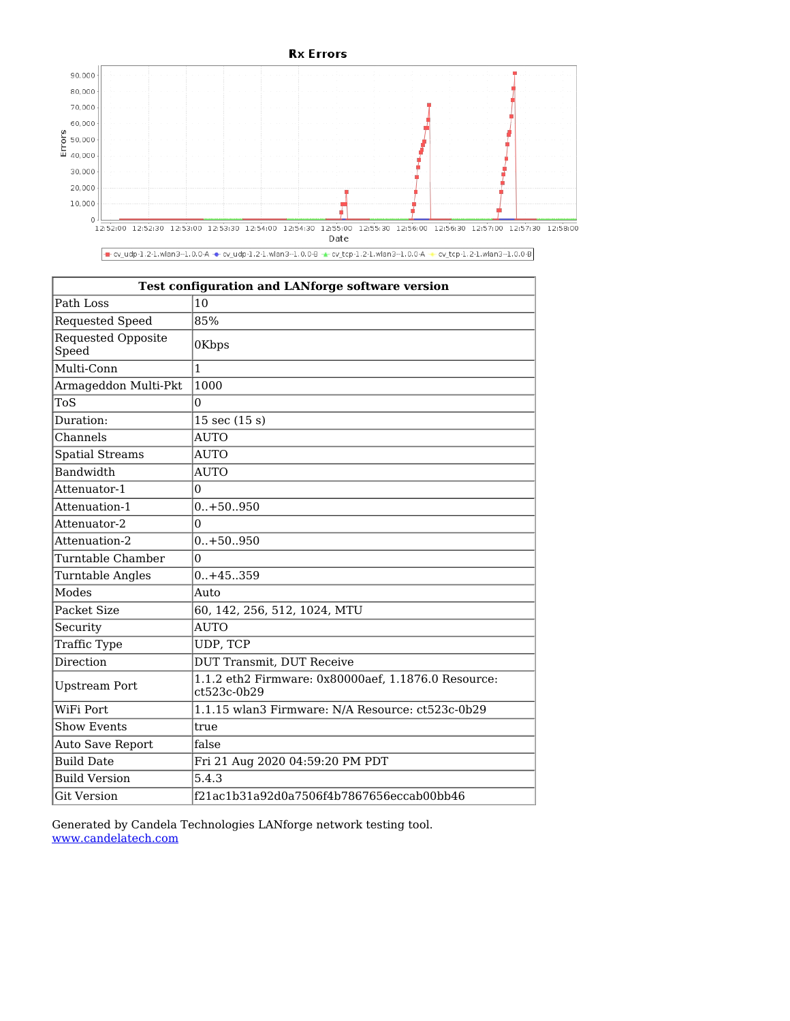



- cv\_udp-1.2-1.wlan3--1.0.0-A - cv\_udp-1.2-1.wlan3--1.0.0-B - cv\_tcp-1.2-1.wlan3--1.0.0-A - cv\_tcp-1.2-1.wlan3--1.0.0-B

| <b>Test configuration and LANforge software version</b> |                                                                    |  |  |  |  |
|---------------------------------------------------------|--------------------------------------------------------------------|--|--|--|--|
| Path Loss                                               | 10                                                                 |  |  |  |  |
| Requested Speed                                         | 85%                                                                |  |  |  |  |
| Requested Opposite<br>Speed                             | 0Kbps                                                              |  |  |  |  |
| Multi-Conn                                              | 1                                                                  |  |  |  |  |
| Armageddon Multi-Pkt                                    | 1000                                                               |  |  |  |  |
| ToS                                                     | $\overline{0}$                                                     |  |  |  |  |
| Duration:                                               | $15 \text{ sec } (15 \text{ s})$                                   |  |  |  |  |
| Channels                                                | <b>AUTO</b>                                                        |  |  |  |  |
| <b>Spatial Streams</b>                                  | <b>AUTO</b>                                                        |  |  |  |  |
| <b>Bandwidth</b>                                        | <b>AUTO</b>                                                        |  |  |  |  |
| Attenuator-1                                            | $\Omega$                                                           |  |  |  |  |
| Attenuation-1                                           | $0.+50950$                                                         |  |  |  |  |
| Attenuator-2                                            | $\Omega$                                                           |  |  |  |  |
| Attenuation-2                                           | $0.+50.950$                                                        |  |  |  |  |
| Turntable Chamber                                       | $\overline{0}$                                                     |  |  |  |  |
| <b>Turntable Angles</b>                                 | $0.+45-.359$                                                       |  |  |  |  |
| Modes                                                   | Auto                                                               |  |  |  |  |
| Packet Size                                             | 60, 142, 256, 512, 1024, MTU                                       |  |  |  |  |
| Security                                                | <b>AUTO</b>                                                        |  |  |  |  |
| Traffic Type                                            | UDP, TCP                                                           |  |  |  |  |
| Direction                                               | <b>DUT Transmit, DUT Receive</b>                                   |  |  |  |  |
| <b>Upstream Port</b>                                    | 1.1.2 eth2 Firmware: 0x80000aef, 1.1876.0 Resource:<br>ct523c-0b29 |  |  |  |  |
| WiFi Port                                               | 1.1.15 wlan3 Firmware: N/A Resource: ct523c-0b29                   |  |  |  |  |
| <b>Show Events</b>                                      | true                                                               |  |  |  |  |
| Auto Save Report                                        | false                                                              |  |  |  |  |
| <b>Build Date</b>                                       | Fri 21 Aug 2020 04:59:20 PM PDT                                    |  |  |  |  |
| <b>Build Version</b>                                    | 5.4.3                                                              |  |  |  |  |
| <b>Git Version</b>                                      | f21ac1b31a92d0a7506f4b7867656eccab00bb46                           |  |  |  |  |

Generated by Candela Technologies LANforge network testing tool. [www.candelatech.com](https://www.candelatech.com/)